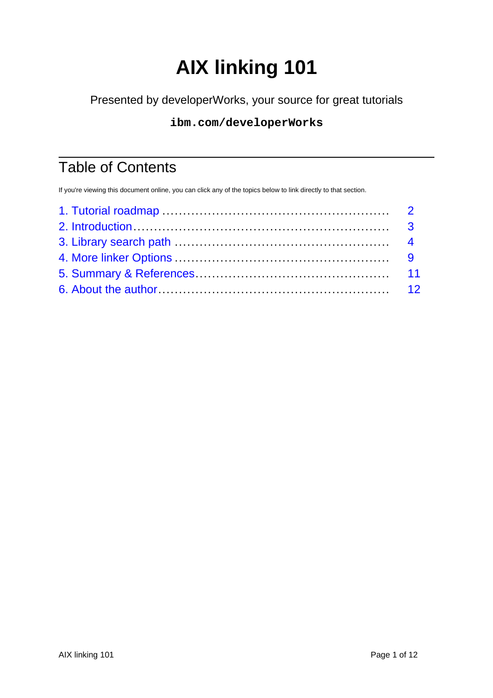# **AIX linking 101**

<span id="page-0-0"></span>Presented by developerWorks, your source for great tutorials

### **ibm.com/developerWorks**

# Table of Contents

If you're viewing this document online, you can click any of the topics below to link directly to that section.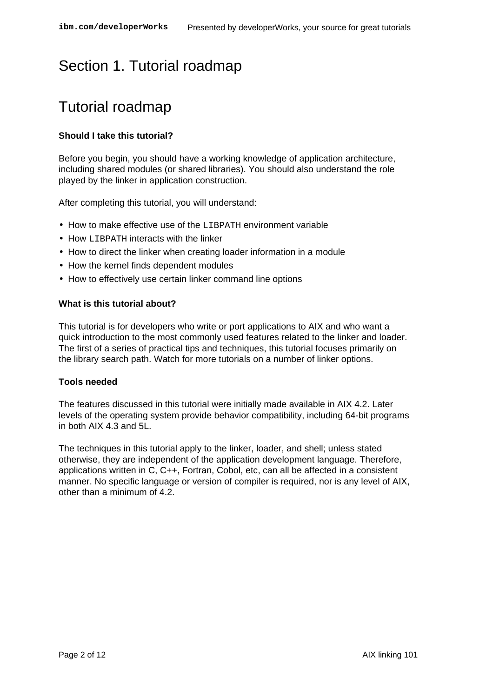# <span id="page-1-0"></span>Section 1. Tutorial roadmap

# Tutorial roadmap

#### **Should I take this tutorial?**

Before you begin, you should have a working knowledge of application architecture, including shared modules (or shared libraries). You should also understand the role played by the linker in application construction.

After completing this tutorial, you will understand:

- How to make effective use of the LIBPATH environment variable
- How LIBPATH interacts with the linker
- How to direct the linker when creating loader information in a module
- How the kernel finds dependent modules
- How to effectively use certain linker command line options

#### **What is this tutorial about?**

This tutorial is for developers who write or port applications to AIX and who want a quick introduction to the most commonly used features related to the linker and loader. The first of a series of practical tips and techniques, this tutorial focuses primarily on the library search path. Watch for more tutorials on a number of linker options.

#### **Tools needed**

The features discussed in this tutorial were initially made available in AIX 4.2. Later levels of the operating system provide behavior compatibility, including 64-bit programs in both AIX 4.3 and 5L.

The techniques in this tutorial apply to the linker, loader, and shell; unless stated otherwise, they are independent of the application development language. Therefore, applications written in C, C++, Fortran, Cobol, etc, can all be affected in a consistent manner. No specific language or version of compiler is required, nor is any level of AIX, other than a minimum of 4.2.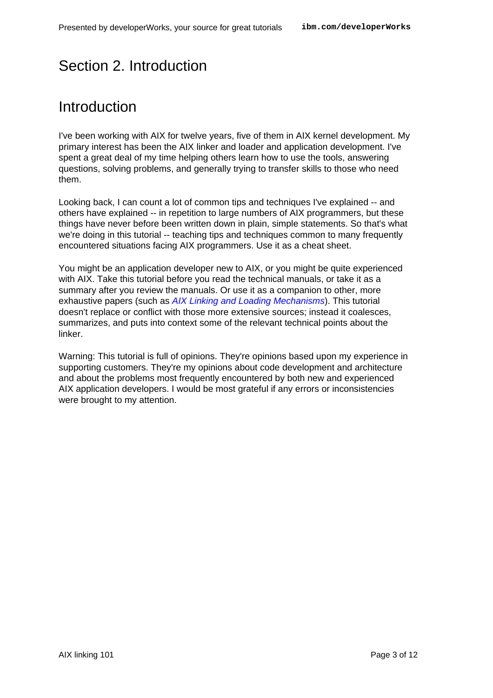# <span id="page-2-0"></span>Section 2. Introduction

# Introduction

I've been working with AIX for twelve years, five of them in AIX kernel development. My primary interest has been the AIX linker and loader and application development. I've spent a great deal of my time helping others learn how to use the tools, answering questions, solving problems, and generally trying to transfer skills to those who need them.

Looking back, I can count a lot of common tips and techniques I've explained -- and others have explained -- in repetition to large numbers of AIX programmers, but these things have never before been written down in plain, simple statements. So that's what we're doing in this tutorial -- teaching tips and techniques common to many frequently encountered situations facing AIX programmers. Use it as a cheat sheet.

You might be an application developer new to AIX, or you might be quite experienced with AIX. Take this tutorial before you read the technical manuals, or take it as a summary after you review the manuals. Or use it as a companion to other, more exhaustive papers (such as [AIX Linking and Loading Mechanisms](#page-0-0)). This tutorial doesn't replace or conflict with those more extensive sources; instead it coalesces, summarizes, and puts into context some of the relevant technical points about the linker.

Warning: This tutorial is full of opinions. They're opinions based upon my experience in supporting customers. They're my opinions about code development and architecture and about the problems most frequently encountered by both new and experienced AIX application developers. I would be most grateful if any errors or inconsistencies were brought to my attention.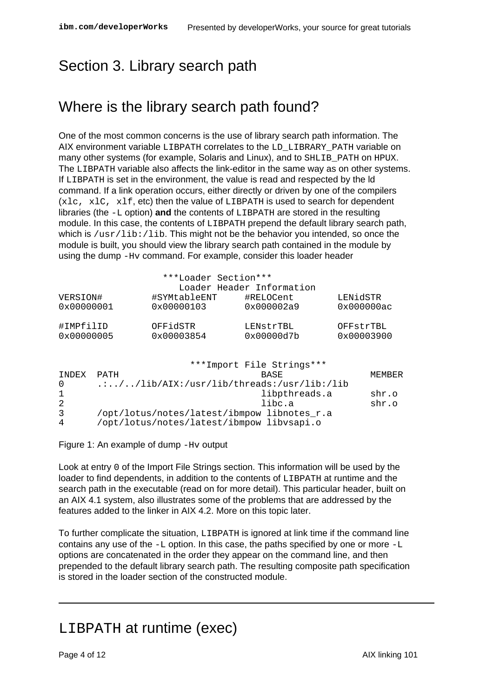# <span id="page-3-0"></span>Section 3. Library search path

# Where is the library search path found?

One of the most common concerns is the use of library search path information. The AIX environment variable LIBPATH correlates to the LD\_LIBRARY\_PATH variable on many other systems (for example, Solaris and Linux), and to SHLIB PATH on HPUX. The LIBPATH variable also affects the link-editor in the same way as on other systems. If LIBPATH is set in the environment, the value is read and respected by the ld command. If a link operation occurs, either directly or driven by one of the compilers (xlc, xlC, xlf, etc) then the value of LIBPATH is used to search for dependent libraries (the -L option) **and** the contents of LIBPATH are stored in the resulting module. In this case, the contents of LIBPATH prepend the default library search path, which is  $/$ usr $/$ lib: $/$ lib. This might not be the behavior you intended, so once the module is built, you should view the library search path contained in the module by using the dump -Hv command. For example, consider this loader header

|                     |                                                              | ***Loader Section***      | Loader Header Information |          |            |  |  |
|---------------------|--------------------------------------------------------------|---------------------------|---------------------------|----------|------------|--|--|
| VERSION#            |                                                              | #SYMtableENT              | #RELOCent                 | LENidSTR |            |  |  |
| 0x00000001          |                                                              | 0x00000103                | 0x000002a9                |          | 0x000000ac |  |  |
| #IMPfilID           |                                                              | OFFidSTR                  | LENStrTBL                 |          | OFFStrTBL  |  |  |
| $0 \times 00000005$ |                                                              | 0x00003854                | 0x00000d7b                |          | 0x00003900 |  |  |
|                     |                                                              |                           |                           |          |            |  |  |
|                     |                                                              | ***Import File Strings*** |                           |          |            |  |  |
| INDEX               | PATH                                                         |                           | BASE                      |          | MEMBER     |  |  |
| 0                   | $\ldots / \ldots / 1$ ib/AIX:/usr/lib/threads:/usr/lib:/lib. |                           |                           |          |            |  |  |
| $\mathbf{1}$        | libpthreads.a<br>shr.o                                       |                           |                           |          |            |  |  |
| 2                   |                                                              |                           | libc.a                    |          | shr.o      |  |  |
| 3                   | /opt/lotus/notes/latest/ibmpow libnotes_r.a                  |                           |                           |          |            |  |  |
| 4                   | /opt/lotus/notes/latest/ibmpow libvsapi.o                    |                           |                           |          |            |  |  |

Figure 1: An example of dump -Hv output

Look at entry 0 of the Import File Strings section. This information will be used by the loader to find dependents, in addition to the contents of LIBPATH at runtime and the search path in the executable (read on for more detail). This particular header, built on an AIX 4.1 system, also illustrates some of the problems that are addressed by the features added to the linker in AIX 4.2. More on this topic later.

To further complicate the situation, LIBPATH is ignored at link time if the command line contains any use of the  $-L$  option. In this case, the paths specified by one or more  $-L$ options are concatenated in the order they appear on the command line, and then prepended to the default library search path. The resulting composite path specification is stored in the loader section of the constructed module.

### LIBPATH at runtime (exec)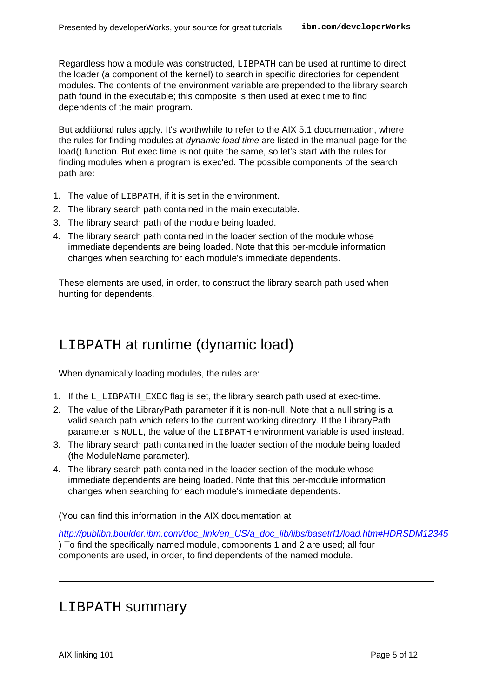Regardless how a module was constructed, LIBPATH can be used at runtime to direct the loader (a component of the kernel) to search in specific directories for dependent modules. The contents of the environment variable are prepended to the library search path found in the executable; this composite is then used at exec time to find dependents of the main program.

But additional rules apply. It's worthwhile to refer to the AIX 5.1 documentation, where the rules for finding modules at dynamic load time are listed in the manual page for the load() function. But exec time is not quite the same, so let's start with the rules for finding modules when a program is exec'ed. The possible components of the search path are:

- 1. The value of LIBPATH, if it is set in the environment.
- 2. The library search path contained in the main executable.
- 3. The library search path of the module being loaded.
- 4. The library search path contained in the loader section of the module whose immediate dependents are being loaded. Note that this per-module information changes when searching for each module's immediate dependents.

These elements are used, in order, to construct the library search path used when hunting for dependents.

### LIBPATH at runtime (dynamic load)

When dynamically loading modules, the rules are:

- 1. If the L\_LIBPATH\_EXEC flag is set, the library search path used at exec-time.
- 2. The value of the LibraryPath parameter if it is non-null. Note that a null string is a valid search path which refers to the current working directory. If the LibraryPath parameter is NULL, the value of the LIBPATH environment variable is used instead.
- 3. The library search path contained in the loader section of the module being loaded (the ModuleName parameter).
- 4. The library search path contained in the loader section of the module whose immediate dependents are being loaded. Note that this per-module information changes when searching for each module's immediate dependents.

(You can find this information in the AIX documentation at

[http://publibn.boulder.ibm.com/doc\\_link/en\\_US/a\\_doc\\_lib/libs/basetrf1/load.htm#HDRSDM12345](http://publibn.boulder.ibm.com/doc_link/en_US/a_doc_lib/libs/basetrf1/load.htm#HDRSDM12345) ) To find the specifically named module, components 1 and 2 are used; all four components are used, in order, to find dependents of the named module.

### LIBPATH summary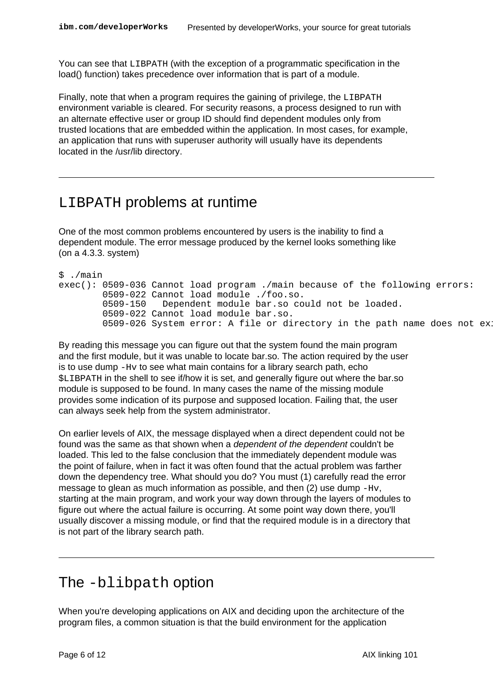You can see that LIBPATH (with the exception of a programmatic specification in the load() function) takes precedence over information that is part of a module.

Finally, note that when a program requires the gaining of privilege, the LIBPATH environment variable is cleared. For security reasons, a process designed to run with an alternate effective user or group ID should find dependent modules only from trusted locations that are embedded within the application. In most cases, for example, an application that runs with superuser authority will usually have its dependents located in the /usr/lib directory.

### LIBPATH problems at runtime

One of the most common problems encountered by users is the inability to find a dependent module. The error message produced by the kernel looks something like (on a 4.3.3. system)

```
$ ./main
exec(): 0509-036 Cannot load program ./main because of the following errors:
        0509-022 Cannot load module ./foo.so.
        0509-150 Dependent module bar.so could not be loaded.
        0509-022 Cannot load module bar.so.
        0509-026 System error: A file or directory in the path name does not exi
```
By reading this message you can figure out that the system found the main program and the first module, but it was unable to locate bar.so. The action required by the user is to use dump  $-Hv$  to see what main contains for a library search path, echo \$LIBPATH in the shell to see if/how it is set, and generally figure out where the bar.so module is supposed to be found. In many cases the name of the missing module provides some indication of its purpose and supposed location. Failing that, the user can always seek help from the system administrator.

On earlier levels of AIX, the message displayed when a direct dependent could not be found was the same as that shown when a dependent of the dependent couldn't be loaded. This led to the false conclusion that the immediately dependent module was the point of failure, when in fact it was often found that the actual problem was farther down the dependency tree. What should you do? You must (1) carefully read the error message to glean as much information as possible, and then (2) use dump -Hv, starting at the main program, and work your way down through the layers of modules to figure out where the actual failure is occurring. At some point way down there, you'll usually discover a missing module, or find that the required module is in a directory that is not part of the library search path.

### The -blibpath option

When you're developing applications on AIX and deciding upon the architecture of the program files, a common situation is that the build environment for the application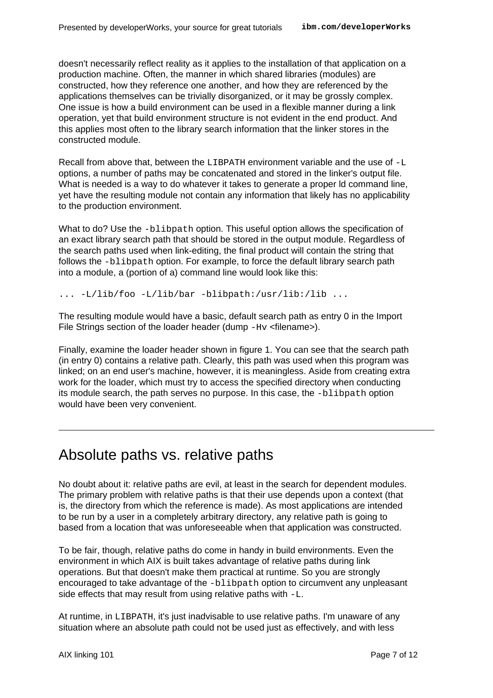doesn't necessarily reflect reality as it applies to the installation of that application on a production machine. Often, the manner in which shared libraries (modules) are constructed, how they reference one another, and how they are referenced by the applications themselves can be trivially disorganized, or it may be grossly complex. One issue is how a build environment can be used in a flexible manner during a link operation, yet that build environment structure is not evident in the end product. And this applies most often to the library search information that the linker stores in the constructed module.

Recall from above that, between the LIBPATH environment variable and the use of  $-L$ options, a number of paths may be concatenated and stored in the linker's output file. What is needed is a way to do whatever it takes to generate a proper ld command line, yet have the resulting module not contain any information that likely has no applicability to the production environment.

What to do? Use the -blibpath option. This useful option allows the specification of an exact library search path that should be stored in the output module. Regardless of the search paths used when link-editing, the final product will contain the string that follows the -blibpath option. For example, to force the default library search path into a module, a (portion of a) command line would look like this:

... -L/lib/foo -L/lib/bar -blibpath:/usr/lib:/lib ...

The resulting module would have a basic, default search path as entry 0 in the Import File Strings section of the loader header (dump -Hv <filename>).

Finally, examine the loader header shown in figure 1. You can see that the search path (in entry 0) contains a relative path. Clearly, this path was used when this program was linked; on an end user's machine, however, it is meaningless. Aside from creating extra work for the loader, which must try to access the specified directory when conducting its module search, the path serves no purpose. In this case, the -blibpath option would have been very convenient.

# Absolute paths vs. relative paths

No doubt about it: relative paths are evil, at least in the search for dependent modules. The primary problem with relative paths is that their use depends upon a context (that is, the directory from which the reference is made). As most applications are intended to be run by a user in a completely arbitrary directory, any relative path is going to based from a location that was unforeseeable when that application was constructed.

To be fair, though, relative paths do come in handy in build environments. Even the environment in which AIX is built takes advantage of relative paths during link operations. But that doesn't make them practical at runtime. So you are strongly encouraged to take advantage of the -blibpath option to circumvent any unpleasant side effects that may result from using relative paths with  $-L$ .

At runtime, in LIBPATH, it's just inadvisable to use relative paths. I'm unaware of any situation where an absolute path could not be used just as effectively, and with less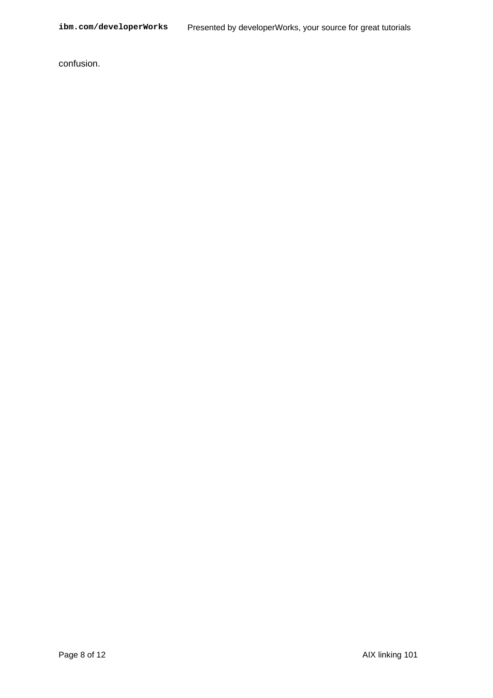confusion.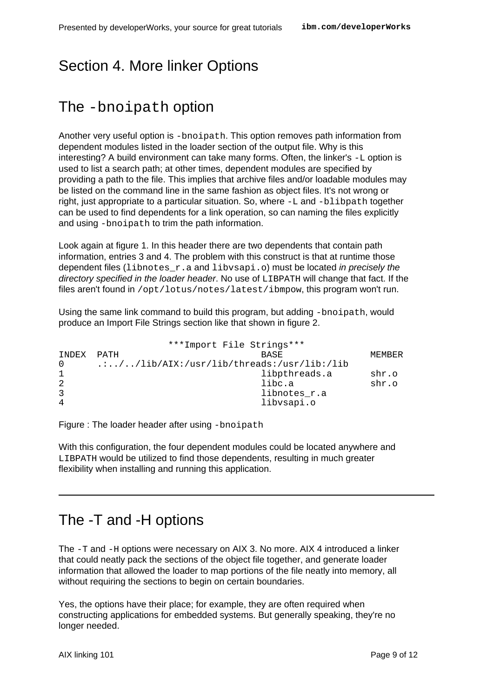# <span id="page-8-0"></span>Section 4. More linker Options

# The -bnoipath option

Another very useful option is -bnoipath. This option removes path information from dependent modules listed in the loader section of the output file. Why is this interesting? A build environment can take many forms. Often, the linker's  $-L$  option is used to list a search path; at other times, dependent modules are specified by providing a path to the file. This implies that archive files and/or loadable modules may be listed on the command line in the same fashion as object files. It's not wrong or right, just appropriate to a particular situation. So, where -L and -blibpath together can be used to find dependents for a link operation, so can naming the files explicitly and using -bnoipath to trim the path information.

Look again at figure 1. In this header there are two dependents that contain path information, entries 3 and 4. The problem with this construct is that at runtime those dependent files (libnotes  $r.a$  and libvsapi.o) must be located in precisely the directory specified in the loader header. No use of LIBPATH will change that fact. If the files aren't found in /opt/lotus/notes/latest/ibmpow, this program won't run.

Using the same link command to build this program, but adding -bnoipath, would produce an Import File Strings section like that shown in figure 2.

```
***Import File Strings***
INDEX PATH BASE MEMBER
0 .:../../lib/AIX:/usr/lib/threads:/usr/lib:/lib
1 libpthreads.a shr.o
2 libc.a shr.o
3 libnotes_r.a
4 libvsapi.o
```
Figure : The loader header after using -bnoipath

With this configuration, the four dependent modules could be located anywhere and LIBPATH would be utilized to find those dependents, resulting in much greater flexibility when installing and running this application.

# The -T and -H options

The -T and -H options were necessary on AIX 3. No more. AIX 4 introduced a linker that could neatly pack the sections of the object file together, and generate loader information that allowed the loader to map portions of the file neatly into memory, all without requiring the sections to begin on certain boundaries.

Yes, the options have their place; for example, they are often required when constructing applications for embedded systems. But generally speaking, they're no longer needed.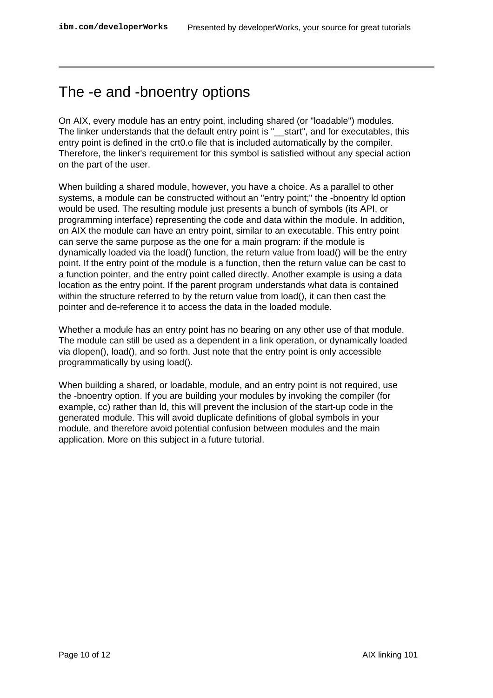# The -e and -bnoentry options

On AIX, every module has an entry point, including shared (or "loadable") modules. The linker understands that the default entry point is "\_\_start", and for executables, this entry point is defined in the crt0.o file that is included automatically by the compiler. Therefore, the linker's requirement for this symbol is satisfied without any special action on the part of the user.

When building a shared module, however, you have a choice. As a parallel to other systems, a module can be constructed without an "entry point;" the -bnoentry ld option would be used. The resulting module just presents a bunch of symbols (its API, or programming interface) representing the code and data within the module. In addition, on AIX the module can have an entry point, similar to an executable. This entry point can serve the same purpose as the one for a main program: if the module is dynamically loaded via the load() function, the return value from load() will be the entry point. If the entry point of the module is a function, then the return value can be cast to a function pointer, and the entry point called directly. Another example is using a data location as the entry point. If the parent program understands what data is contained within the structure referred to by the return value from load(), it can then cast the pointer and de-reference it to access the data in the loaded module.

Whether a module has an entry point has no bearing on any other use of that module. The module can still be used as a dependent in a link operation, or dynamically loaded via dlopen(), load(), and so forth. Just note that the entry point is only accessible programmatically by using load().

When building a shared, or loadable, module, and an entry point is not required, use the -bnoentry option. If you are building your modules by invoking the compiler (for example, cc) rather than ld, this will prevent the inclusion of the start-up code in the generated module. This will avoid duplicate definitions of global symbols in your module, and therefore avoid potential confusion between modules and the main application. More on this subject in a future tutorial.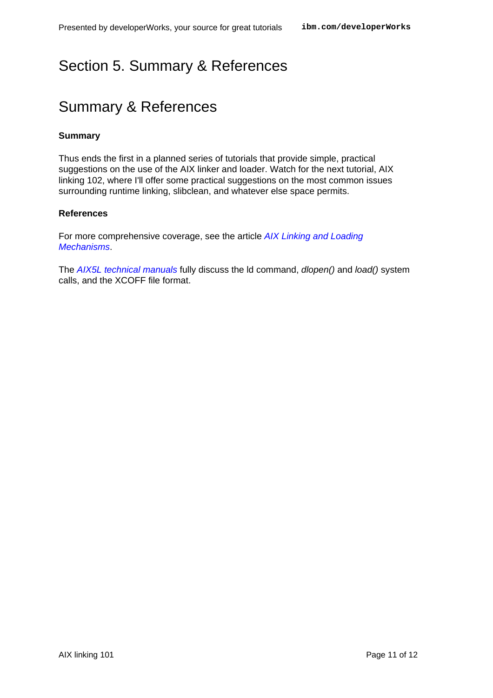# <span id="page-10-0"></span>Section 5. Summary & References

# Summary & References

#### **Summary**

Thus ends the first in a planned series of tutorials that provide simple, practical suggestions on the use of the AIX linker and loader. Watch for the next tutorial, AIX linking 102, where I'll offer some practical suggestions on the most common issues surrounding runtime linking, slibclean, and whatever else space permits.

#### **References**

For more comprehensive coverage, see the article [AIX Linking and Loading](#page-0-0) [Mechanisms](#page-0-0).

The [AIX5L technical manuals](http://www-1.ibm.com/servers/aix/library/) fully discuss the Id command, dlopen() and load() system calls, and the XCOFF file format.